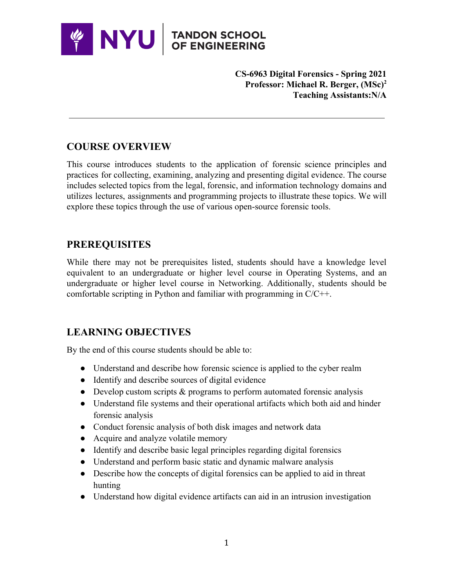

**CS-6963 Digital Forensics - Spring 2021 Professor: Michael R. Berger, (MSc)<sup>2</sup> Teaching Assistants:N/A** 

# **COURSE OVERVIEW**

This course introduces students to the application of forensic science principles and practices for collecting, examining, analyzing and presenting digital evidence. The course includes selected topics from the legal, forensic, and information technology domains and utilizes lectures, assignments and programming projects to illustrate these topics. We will explore these topics through the use of various open-source forensic tools.

## **PREREQUISITES**

While there may not be prerequisites listed, students should have a knowledge level equivalent to an undergraduate or higher level course in Operating Systems, and an undergraduate or higher level course in Networking. Additionally, students should be comfortable scripting in Python and familiar with programming in C/C++.

### **LEARNING OBJECTIVES**

By the end of this course students should be able to:

- Understand and describe how forensic science is applied to the cyber realm
- Identify and describe sources of digital evidence
- Develop custom scripts & programs to perform automated forensic analysis
- Understand file systems and their operational artifacts which both aid and hinder forensic analysis
- Conduct forensic analysis of both disk images and network data
- Acquire and analyze volatile memory
- Identify and describe basic legal principles regarding digital forensics
- Understand and perform basic static and dynamic malware analysis
- Describe how the concepts of digital forensics can be applied to aid in threat hunting
- Understand how digital evidence artifacts can aid in an intrusion investigation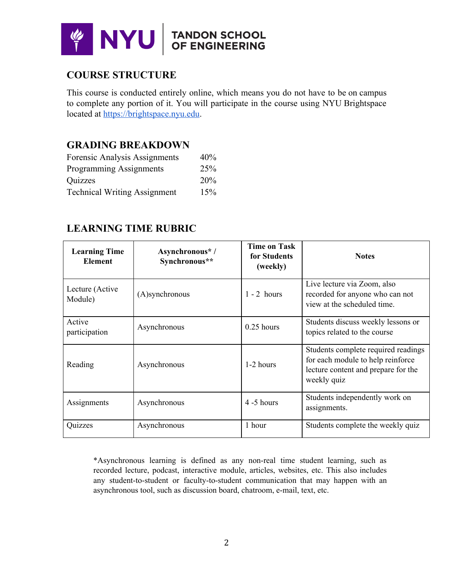

# **COURSE STRUCTURE**

This course is conducted entirely online, which means you do not have to be on campus to complete any portion of it. You will participate in the course using NYU Brightspace located at [https://brightspace.nyu.edu](https://brightspace.nyu.edu/).

#### **GRADING BREAKDOWN**

| Forensic Analysis Assignments       | 40% |
|-------------------------------------|-----|
| Programming Assignments             | 25% |
| Quizzes                             | 20% |
| <b>Technical Writing Assignment</b> | 15% |

#### **LEARNING TIME RUBRIC**

| <b>Learning Time</b><br><b>Element</b> | Asynchronous*/<br>Synchronous** | <b>Time on Task</b><br>for Students<br>(weekly) | <b>Notes</b>                                                                                                                   |
|----------------------------------------|---------------------------------|-------------------------------------------------|--------------------------------------------------------------------------------------------------------------------------------|
| Lecture (Active)<br>Module)            | (A)synchronous                  | $1 - 2$ hours                                   | Live lecture via Zoom, also<br>recorded for anyone who can not<br>view at the scheduled time.                                  |
| Active<br>participation                | Asynchronous                    | $0.25$ hours                                    | Students discuss weekly lessons or<br>topics related to the course                                                             |
| Reading                                | Asynchronous                    | $1-2$ hours                                     | Students complete required readings<br>for each module to help reinforce<br>lecture content and prepare for the<br>weekly quiz |
| Assignments                            | Asynchronous                    | $4-5$ hours                                     | Students independently work on<br>assignments.                                                                                 |
| Quizzes                                | Asynchronous                    | 1 hour                                          | Students complete the weekly quiz                                                                                              |

\*Asynchronous learning is defined as any non-real time student learning, such as recorded lecture, podcast, interactive module, articles, websites, etc. This also includes any student-to-student or faculty-to-student communication that may happen with an asynchronous tool, such as discussion board, chatroom, e-mail, text, etc.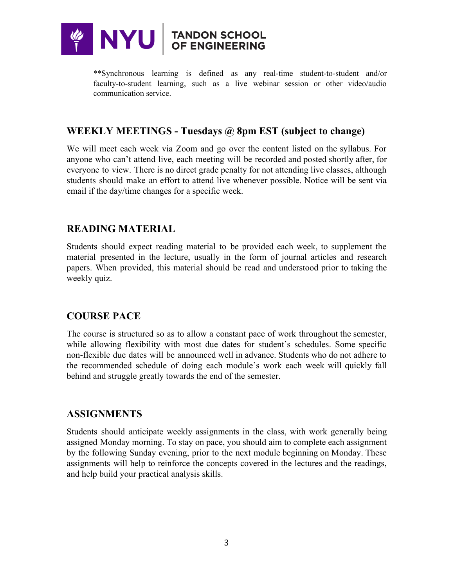

\*\*Synchronous learning is defined as any real-time student-to-student and/or faculty-to-student learning, such as a live webinar session or other video/audio communication service.

## **WEEKLY MEETINGS - Tuesdays @ 8pm EST (subject to change)**

We will meet each week via Zoom and go over the content listed on the syllabus. For anyone who can't attend live, each meeting will be recorded and posted shortly after, for everyone to view. There is no direct grade penalty for not attending live classes, although students should make an effort to attend live whenever possible. Notice will be sent via email if the day/time changes for a specific week.

## **READING MATERIAL**

Students should expect reading material to be provided each week, to supplement the material presented in the lecture, usually in the form of journal articles and research papers. When provided, this material should be read and understood prior to taking the weekly quiz.

### **COURSE PACE**

The course is structured so as to allow a constant pace of work throughout the semester, while allowing flexibility with most due dates for student's schedules. Some specific non-flexible due dates will be announced well in advance. Students who do not adhere to the recommended schedule of doing each module's work each week will quickly fall behind and struggle greatly towards the end of the semester.

### **ASSIGNMENTS**

Students should anticipate weekly assignments in the class, with work generally being assigned Monday morning. To stay on pace, you should aim to complete each assignment by the following Sunday evening, prior to the next module beginning on Monday. These assignments will help to reinforce the concepts covered in the lectures and the readings, and help build your practical analysis skills.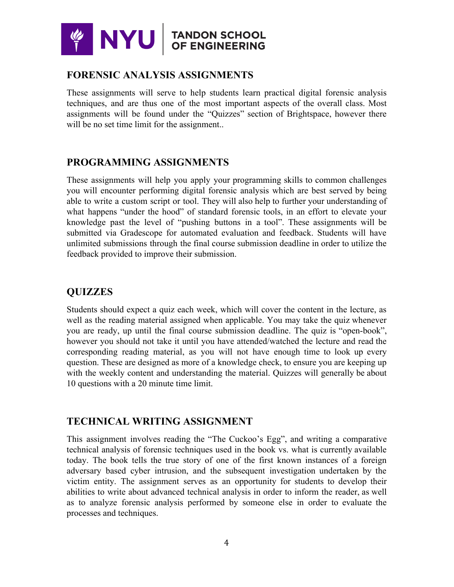

#### **FORENSIC ANALYSIS ASSIGNMENTS**

These assignments will serve to help students learn practical digital forensic analysis techniques, and are thus one of the most important aspects of the overall class. Most assignments will be found under the "Quizzes" section of Brightspace, however there will be no set time limit for the assignment...

# **PROGRAMMING ASSIGNMENTS**

These assignments will help you apply your programming skills to common challenges you will encounter performing digital forensic analysis which are best served by being able to write a custom script or tool. They will also help to further your understanding of what happens "under the hood" of standard forensic tools, in an effort to elevate your knowledge past the level of "pushing buttons in a tool". These assignments will be submitted via Gradescope for automated evaluation and feedback. Students will have unlimited submissions through the final course submission deadline in order to utilize the feedback provided to improve their submission.

## **QUIZZES**

Students should expect a quiz each week, which will cover the content in the lecture, as well as the reading material assigned when applicable. You may take the quiz whenever you are ready, up until the final course submission deadline. The quiz is "open-book", however you should not take it until you have attended/watched the lecture and read the corresponding reading material, as you will not have enough time to look up every question. These are designed as more of a knowledge check, to ensure you are keeping up with the weekly content and understanding the material. Quizzes will generally be about 10 questions with a 20 minute time limit.

### **TECHNICAL WRITING ASSIGNMENT**

This assignment involves reading the "The Cuckoo's Egg", and writing a comparative technical analysis of forensic techniques used in the book vs. what is currently available today. The book tells the true story of one of the first known instances of a foreign adversary based cyber intrusion, and the subsequent investigation undertaken by the victim entity. The assignment serves as an opportunity for students to develop their abilities to write about advanced technical analysis in order to inform the reader, as well as to analyze forensic analysis performed by someone else in order to evaluate the processes and techniques.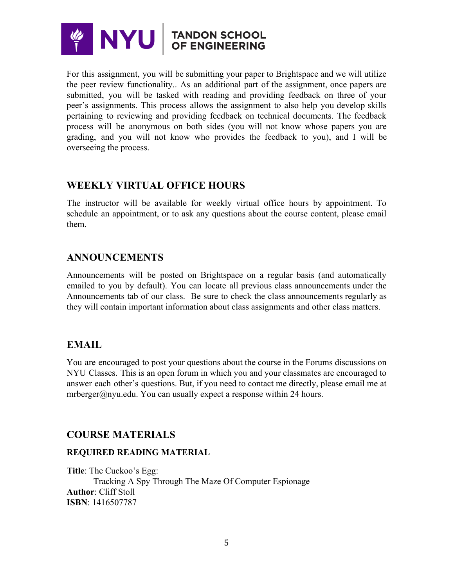

For this assignment, you will be submitting your paper to Brightspace and we will utilize the peer review functionality.. As an additional part of the assignment, once papers are submitted, you will be tasked with reading and providing feedback on three of your peer's assignments. This process allows the assignment to also help you develop skills pertaining to reviewing and providing feedback on technical documents. The feedback process will be anonymous on both sides (you will not know whose papers you are grading, and you will not know who provides the feedback to you), and I will be overseeing the process.

### **WEEKLY VIRTUAL OFFICE HOURS**

The instructor will be available for weekly virtual office hours by appointment. To schedule an appointment, or to ask any questions about the course content, please email them.

## **ANNOUNCEMENTS**

Announcements will be posted on Brightspace on a regular basis (and automatically emailed to you by default). You can locate all previous class announcements under the Announcements tab of our class. Be sure to check the class announcements regularly as they will contain important information about class assignments and other class matters.

### **EMAIL**

You are encouraged to post your questions about the course in the Forums discussions on NYU Classes. This is an open forum in which you and your classmates are encouraged to answer each other's questions. But, if you need to contact me directly, please email me at mrberger@nyu.edu. You can usually expect a response within 24 hours.

# **COURSE MATERIALS**

#### **REQUIRED READING MATERIAL**

**Title**: The Cuckoo's Egg: Tracking A Spy Through The Maze Of Computer Espionage **Author**: Cliff Stoll **ISBN**: 1416507787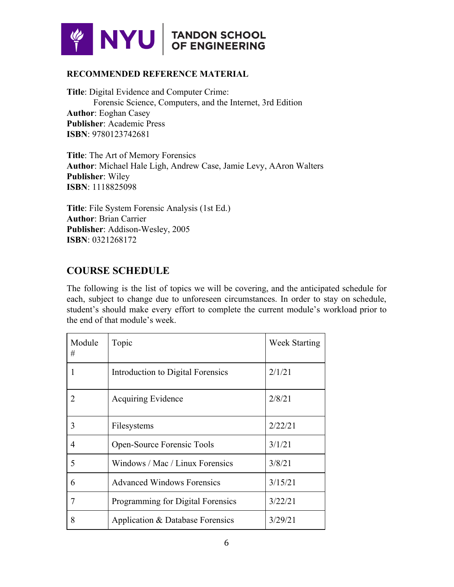

#### **RECOMMENDED REFERENCE MATERIAL**

**Title**: Digital Evidence and Computer Crime: Forensic Science, Computers, and the Internet, 3rd Edition **Author**: Eoghan Casey **Publisher**: Academic Press **ISBN**: 9780123742681

**Title**: The Art of Memory Forensics **Author**: Michael Hale Ligh, Andrew Case, Jamie Levy, AAron Walters **Publisher**: Wiley **ISBN**: 1118825098

**Title**: File System Forensic Analysis (1st Ed.) **Author**: Brian Carrier **Publisher**: Addison-Wesley, 2005 **ISBN**: 0321268172

#### **COURSE SCHEDULE**

The following is the list of topics we will be covering, and the anticipated schedule for each, subject to change due to unforeseen circumstances. In order to stay on schedule, student's should make every effort to complete the current module's workload prior to the end of that module's week.

| Module<br># | Topic                             | <b>Week Starting</b> |
|-------------|-----------------------------------|----------------------|
|             | Introduction to Digital Forensics | 2/1/21               |
| 2           | <b>Acquiring Evidence</b>         | 2/8/21               |
| 3           | Filesystems                       | 2/22/21              |
| 4           | Open-Source Forensic Tools        | 3/1/21               |
| 5           | Windows / Mac / Linux Forensics   | 3/8/21               |
| 6           | <b>Advanced Windows Forensics</b> | 3/15/21              |
|             | Programming for Digital Forensics | 3/22/21              |
| 8           | Application & Database Forensics  | 3/29/21              |